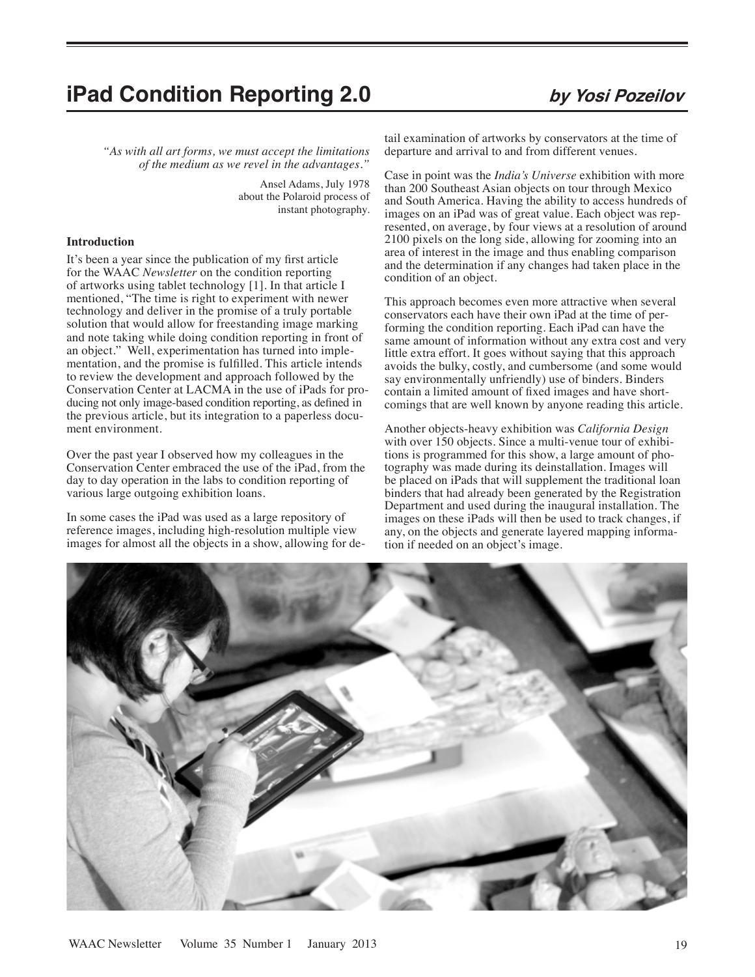# **iPad Condition Reporting 2.0** *by Yosi Pozeilov*

*"As with all art forms, we must accept the limitations of the medium as we revel in the advantages."*

> Ansel Adams, July 1978 about the Polaroid process of instant photography.

## **Introduction**

It's been a year since the publication of my first article for the WAAC *Newsletter* on the condition reporting of artworks using tablet technology [1]. In that article I mentioned, "The time is right to experiment with newer technology and deliver in the promise of a truly portable solution that would allow for freestanding image marking and note taking while doing condition reporting in front of an object." Well, experimentation has turned into implementation, and the promise is fulfilled. This article intends to review the development and approach followed by the Conservation Center at LACMA in the use of iPads for producing not only image-based condition reporting, as defined in the previous article, but its integration to a paperless document environment.

Over the past year I observed how my colleagues in the Conservation Center embraced the use of the iPad, from the day to day operation in the labs to condition reporting of various large outgoing exhibition loans.

In some cases the iPad was used as a large repository of reference images, including high-resolution multiple view images for almost all the objects in a show, allowing for de-

tail examination of artworks by conservators at the time of departure and arrival to and from different venues.

Case in point was the *India's Universe* exhibition with more than 200 Southeast Asian objects on tour through Mexico and South America. Having the ability to access hundreds of images on an iPad was of great value. Each object was represented, on average, by four views at a resolution of around 2100 pixels on the long side, allowing for zooming into an area of interest in the image and thus enabling comparison and the determination if any changes had taken place in the condition of an object.

This approach becomes even more attractive when several conservators each have their own iPad at the time of performing the condition reporting. Each iPad can have the same amount of information without any extra cost and very little extra effort. It goes without saying that this approach avoids the bulky, costly, and cumbersome (and some would say environmentally unfriendly) use of binders. Binders contain a limited amount of fixed images and have shortcomings that are well known by anyone reading this article.

Another objects-heavy exhibition was *California Design* with over 150 objects. Since a multi-venue tour of exhibitions is programmed for this show, a large amount of photography was made during its deinstallation. Images will be placed on iPads that will supplement the traditional loan binders that had already been generated by the Registration Department and used during the inaugural installation. The images on these iPads will then be used to track changes, if any, on the objects and generate layered mapping information if needed on an object's image.

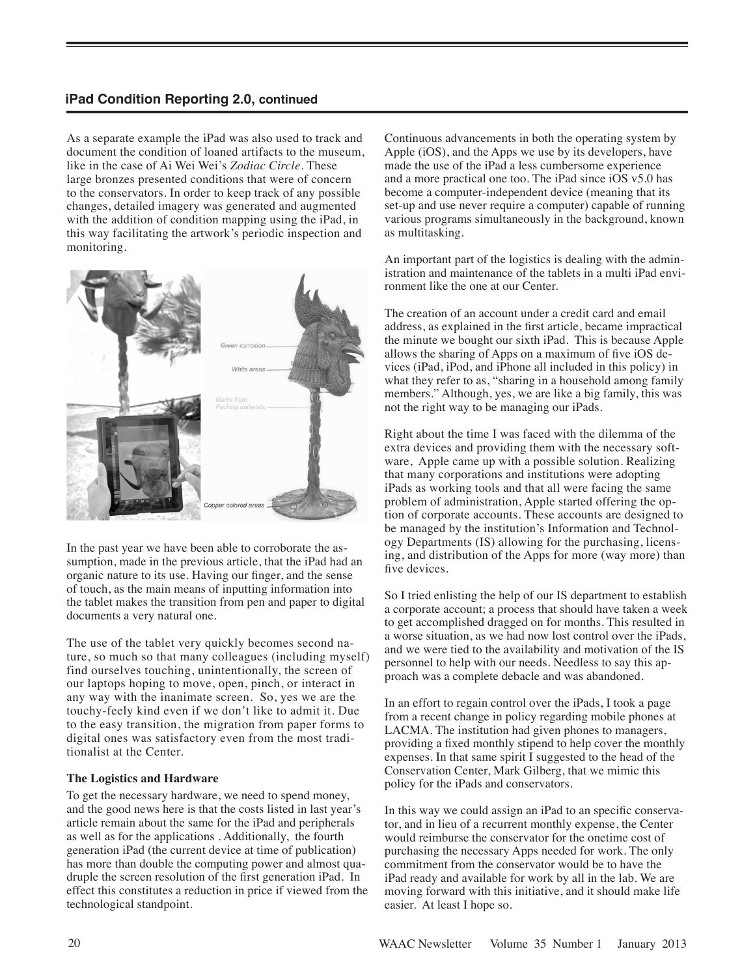# **iPad Condition Reporting 2.0, continued**

As a separate example the iPad was also used to track and document the condition of loaned artifacts to the museum, like in the case of Ai Wei Wei's *Zodiac Circle*. These large bronzes presented conditions that were of concern to the conservators. In order to keep track of any possible changes, detailed imagery was generated and augmented with the addition of condition mapping using the iPad, in this way facilitating the artwork's periodic inspection and monitoring.



In the past year we have been able to corroborate the assumption, made in the previous article, that the iPad had an organic nature to its use. Having our finger, and the sense of touch, as the main means of inputting information into the tablet makes the transition from pen and paper to digital documents a very natural one.

The use of the tablet very quickly becomes second nature, so much so that many colleagues (including myself) find ourselves touching, unintentionally, the screen of our laptops hoping to move, open, pinch, or interact in any way with the inanimate screen. So, yes we are the touchy-feely kind even if we don't like to admit it. Due to the easy transition, the migration from paper forms to digital ones was satisfactory even from the most traditionalist at the Center.

### **The Logistics and Hardware**

To get the necessary hardware, we need to spend money, and the good news here is that the costs listed in last year's article remain about the same for the iPad and peripherals as well as for the applications . Additionally, the fourth generation iPad (the current device at time of publication) has more than double the computing power and almost quadruple the screen resolution of the first generation iPad. In effect this constitutes a reduction in price if viewed from the technological standpoint.

Continuous advancements in both the operating system by Apple (iOS), and the Apps we use by its developers, have made the use of the iPad a less cumbersome experience and a more practical one too. The iPad since iOS v5.0 has become a computer-independent device (meaning that its set-up and use never require a computer) capable of running various programs simultaneously in the background, known as multitasking.

An important part of the logistics is dealing with the administration and maintenance of the tablets in a multi iPad environment like the one at our Center.

The creation of an account under a credit card and email address, as explained in the first article, became impractical the minute we bought our sixth iPad. This is because Apple allows the sharing of Apps on a maximum of five iOS devices (iPad, iPod, and iPhone all included in this policy) in what they refer to as, "sharing in a household among family members." Although, yes, we are like a big family, this was not the right way to be managing our iPads.

Right about the time I was faced with the dilemma of the extra devices and providing them with the necessary software, Apple came up with a possible solution. Realizing that many corporations and institutions were adopting iPads as working tools and that all were facing the same problem of administration, Apple started offering the option of corporate accounts. These accounts are designed to be managed by the institution's Information and Technology Departments (IS) allowing for the purchasing, licensing, and distribution of the Apps for more (way more) than five devices.

So I tried enlisting the help of our IS department to establish a corporate account; a process that should have taken a week to get accomplished dragged on for months. This resulted in a worse situation, as we had now lost control over the iPads, and we were tied to the availability and motivation of the IS personnel to help with our needs. Needless to say this approach was a complete debacle and was abandoned.

In an effort to regain control over the iPads, I took a page from a recent change in policy regarding mobile phones at LACMA. The institution had given phones to managers, providing a fixed monthly stipend to help cover the monthly expenses. In that same spirit I suggested to the head of the Conservation Center, Mark Gilberg, that we mimic this policy for the iPads and conservators.

In this way we could assign an iPad to an specific conservator, and in lieu of a recurrent monthly expense, the Center would reimburse the conservator for the onetime cost of purchasing the necessary Apps needed for work. The only commitment from the conservator would be to have the iPad ready and available for work by all in the lab. We are moving forward with this initiative, and it should make life easier. At least I hope so.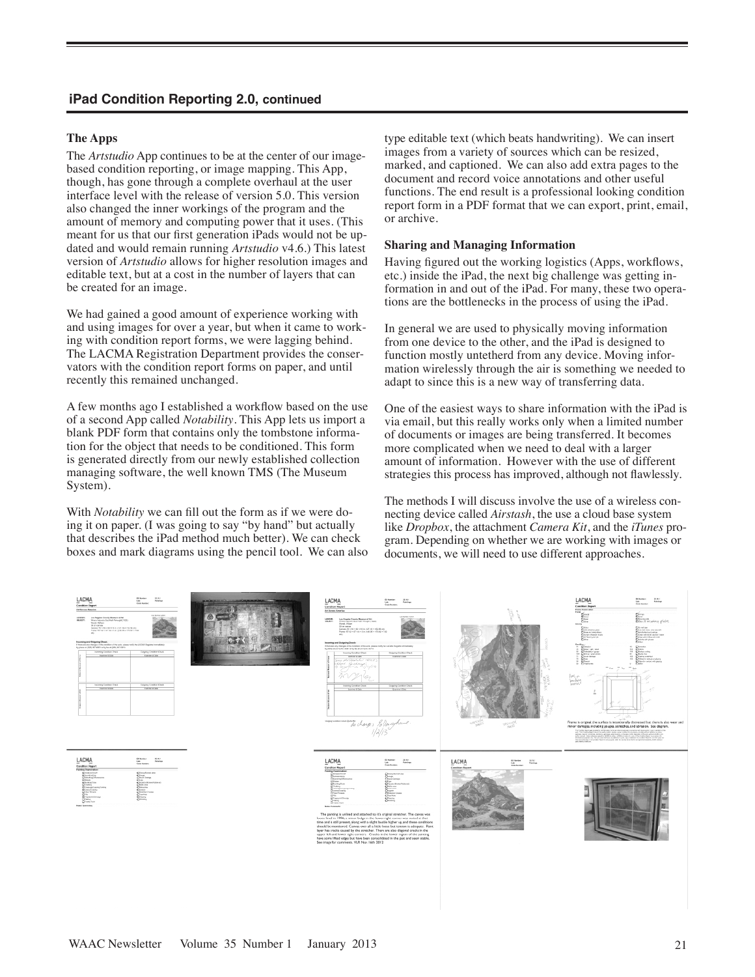# **iPad Condition Reporting 2.0, continued**

## **The Apps**

The *Artstudio* App continues to be at the center of our imagebased condition reporting, or image mapping. This App, though, has gone through a complete overhaul at the user interface level with the release of version 5.0. This version also changed the inner workings of the program and the amount of memory and computing power that it uses. (This meant for us that our first generation iPads would not be updated and would remain running *Artstudio* v4.6.) This latest version of *Artstudio* allows for higher resolution images and editable text, but at a cost in the number of layers that can be created for an image.

We had gained a good amount of experience working with and using images for over a year, but when it came to working with condition report forms, we were lagging behind. The LACMA Registration Department provides the conservators with the condition report forms on paper, and until recently this remained unchanged.

A few months ago I established a workflow based on the use of a second App called *Notability*. This App lets us import a blank PDF form that contains only the tombstone information for the object that needs to be conditioned. This form is generated directly from our newly established collection managing software, the well known TMS (The Museum System).

With *Notability* we can fill out the form as if we were doing it on paper. (I was going to say "by hand" but actually that describes the iPad method much better). We can check boxes and mark diagrams using the pencil tool. We can also type editable text (which beats handwriting). We can insert images from a variety of sources which can be resized, marked, and captioned. We can also add extra pages to the document and record voice annotations and other useful functions. The end result is a professional looking condition report form in a PDF format that we can export, print, email, or archive.

#### **Sharing and Managing Information**

Having figured out the working logistics (Apps, workflows, etc.) inside the iPad, the next big challenge was getting information in and out of the iPad. For many, these two operations are the bottlenecks in the process of using the iPad.

In general we are used to physically moving information from one device to the other, and the iPad is designed to function mostly untetherd from any device. Moving information wirelessly through the air is something we needed to adapt to since this is a new way of transferring data.

One of the easiest ways to share information with the iPad is via email, but this really works only when a limited number of documents or images are being transferred. It becomes more complicated when we need to deal with a larger amount of information. However with the use of different strategies this process has improved, although not flawlessly.

The methods I will discuss involve the use of a wireless connecting device called *Airstash*, the use a cloud base system like *Dropbox*, the attachment *Camera Kit*, and the *iTunes* program. Depending on whether we are working with images or documents, we will need to use different approaches.